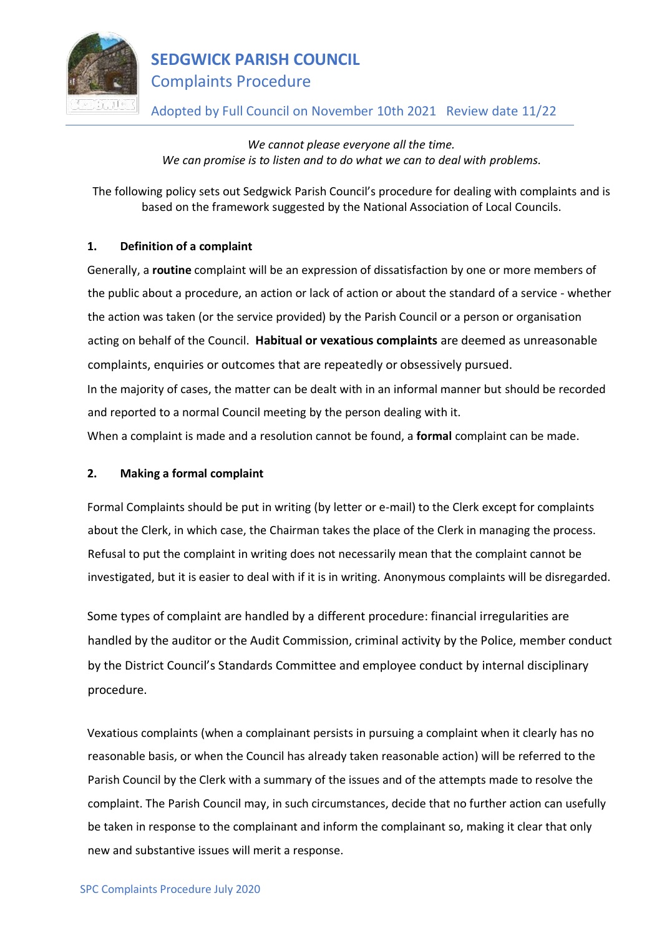

## **SEDGWICK PARISH COUNCIL** Complaints Procedure

## Adopted by Full Council on November 10th 2021 Review date 11/22

*We cannot please everyone all the time. We can promise is to listen and to do what we can to deal with problems.*

The following policy sets out Sedgwick Parish Council's procedure for dealing with complaints and is based on the framework suggested by the National Association of Local Councils.

### **1. Definition of a complaint**

Generally, a **routine** complaint will be an expression of dissatisfaction by one or more members of the public about a procedure, an action or lack of action or about the standard of a service - whether the action was taken (or the service provided) by the Parish Council or a person or organisation acting on behalf of the Council. **Habitual or vexatious complaints** are deemed as unreasonable complaints, enquiries or outcomes that are repeatedly or obsessively pursued. In the majority of cases, the matter can be dealt with in an informal manner but should be recorded and reported to a normal Council meeting by the person dealing with it.

When a complaint is made and a resolution cannot be found, a **formal** complaint can be made.

#### **2. Making a formal complaint**

Formal Complaints should be put in writing (by letter or e-mail) to the Clerk except for complaints about the Clerk, in which case, the Chairman takes the place of the Clerk in managing the process. Refusal to put the complaint in writing does not necessarily mean that the complaint cannot be investigated, but it is easier to deal with if it is in writing. Anonymous complaints will be disregarded.

Some types of complaint are handled by a different procedure: financial irregularities are handled by the auditor or the Audit Commission, criminal activity by the Police, member conduct by the District Council's Standards Committee and employee conduct by internal disciplinary procedure.

Vexatious complaints (when a complainant persists in pursuing a complaint when it clearly has no reasonable basis, or when the Council has already taken reasonable action) will be referred to the Parish Council by the Clerk with a summary of the issues and of the attempts made to resolve the complaint. The Parish Council may, in such circumstances, decide that no further action can usefully be taken in response to the complainant and inform the complainant so, making it clear that only new and substantive issues will merit a response.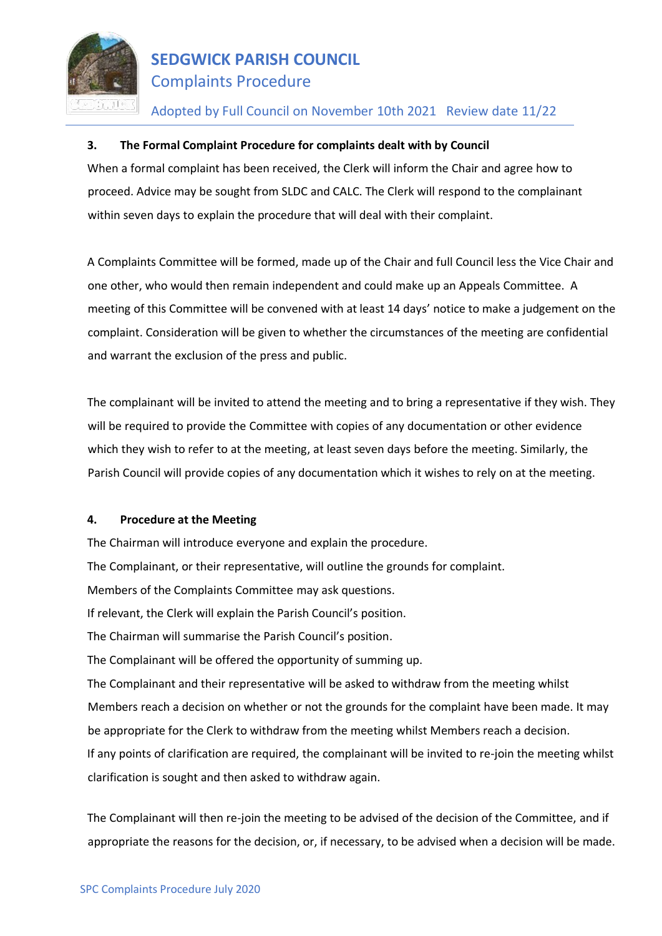

# **SEDGWICK PARISH COUNCIL** Complaints Procedure

### Adopted by Full Council on November 10th 2021 Review date 11/22

#### **3. The Formal Complaint Procedure for complaints dealt with by Council**

When a formal complaint has been received, the Clerk will inform the Chair and agree how to proceed. Advice may be sought from SLDC and CALC. The Clerk will respond to the complainant within seven days to explain the procedure that will deal with their complaint.

A Complaints Committee will be formed, made up of the Chair and full Council less the Vice Chair and one other, who would then remain independent and could make up an Appeals Committee. A meeting of this Committee will be convened with at least 14 days' notice to make a judgement on the complaint. Consideration will be given to whether the circumstances of the meeting are confidential and warrant the exclusion of the press and public.

The complainant will be invited to attend the meeting and to bring a representative if they wish. They will be required to provide the Committee with copies of any documentation or other evidence which they wish to refer to at the meeting, at least seven days before the meeting. Similarly, the Parish Council will provide copies of any documentation which it wishes to rely on at the meeting.

#### **4. Procedure at the Meeting**

The Chairman will introduce everyone and explain the procedure. The Complainant, or their representative, will outline the grounds for complaint. Members of the Complaints Committee may ask questions. If relevant, the Clerk will explain the Parish Council's position. The Chairman will summarise the Parish Council's position. The Complainant will be offered the opportunity of summing up. The Complainant and their representative will be asked to withdraw from the meeting whilst Members reach a decision on whether or not the grounds for the complaint have been made. It may be appropriate for the Clerk to withdraw from the meeting whilst Members reach a decision. If any points of clarification are required, the complainant will be invited to re-join the meeting whilst clarification is sought and then asked to withdraw again.

The Complainant will then re-join the meeting to be advised of the decision of the Committee, and if appropriate the reasons for the decision, or, if necessary, to be advised when a decision will be made.